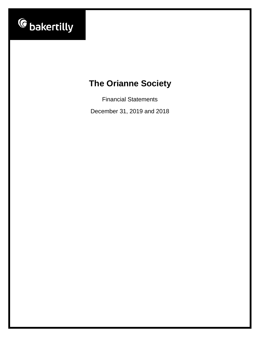

Financial Statements December 31, 2019 and 2018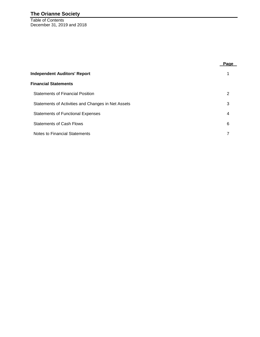Table of Contents December 31, 2019 and 2018

|                                                    | Page |
|----------------------------------------------------|------|
| <b>Independent Auditors' Report</b>                |      |
| <b>Financial Statements</b>                        |      |
| <b>Statements of Financial Position</b>            | 2    |
| Statements of Activities and Changes in Net Assets | 3    |
| <b>Statements of Functional Expenses</b>           | 4    |
| <b>Statements of Cash Flows</b>                    | 6    |
| Notes to Financial Statements                      |      |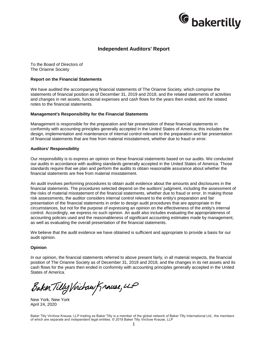

# **Independent Auditors' Report**

To the Board of Directors of The Orianne Society

#### **Report on the Financial Statements**

We have audited the accompanying financial statements of The Orianne Society, which comprise the statements of financial position as of December 31, 2019 and 2018, and the related statements of activities and changes in net assets, functional expenses and cash flows for the years then ended, and the related notes to the financial statements.

#### **Management's Responsibility for the Financial Statements**

Management is responsible for the preparation and fair presentation of these financial statements in conformity with accounting principles generally accepted in the United States of America; this includes the design, implementation and maintenance of internal control relevant to the preparation and fair presentation of financial statements that are free from material misstatement, whether due to fraud or error.

#### **Auditors' Responsibility**

Our responsibility is to express an opinion on these financial statements based on our audits. We conducted our audits in accordance with auditing standards generally accepted in the United States of America. Those standards require that we plan and perform the audits to obtain reasonable assurance about whether the financial statements are free from material misstatement.

An audit involves performing procedures to obtain audit evidence about the amounts and disclosures in the financial statements. The procedures selected depend on the auditors' judgment, including the assessment of the risks of material misstatement of the financial statements, whether due to fraud or error. In making those risk assessments, the auditor considers internal control relevant to the entity's preparation and fair presentation of the financial statements in order to design audit procedures that are appropriate in the circumstances, but not for the purpose of expressing an opinion on the effectiveness of the entity's internal control. Accordingly, we express no such opinion. An audit also includes evaluating the appropriateness of accounting policies used and the reasonableness of significant accounting estimates made by management, as well as evaluating the overall presentation of the financial statements.

We believe that the audit evidence we have obtained is sufficient and appropriate to provide a basis for our audit opinion.

#### **Opinion**

In our opinion, the financial statements referred to above present fairly, in all material respects, the financial position of The Orianne Society as of December 31, 2019 and 2018, and the changes in its net assets and its cash flows for the years then ended in conformity with accounting principles generally accepted in the United States of America.

Baker Tilly Virchaw Krause, LLP

New York, New York April 24, 2020

Baker Tilly Virchow Krause, LLP trading as Baker Tilly is a member of the global network of Baker Tilly International Ltd., the members of which are separate and independent legal entities. © 2018 Baker Tilly Virchow Krause, LLP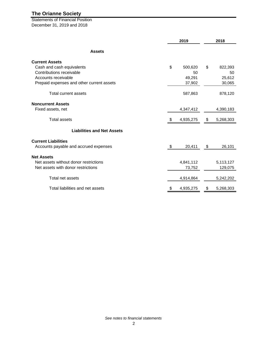Statements of Financial Position December 31, 2019 and 2018

|                                           | 2019 |           |    | 2018      |
|-------------------------------------------|------|-----------|----|-----------|
| <b>Assets</b>                             |      |           |    |           |
| <b>Current Assets</b>                     |      |           |    |           |
| Cash and cash equivalents                 | \$   | 500,620   | \$ | 822,393   |
| Contributions receivable                  |      | 50        |    | 50        |
| Accounts receivable                       |      | 49,291    |    | 25,612    |
| Prepaid expenses and other current assets |      | 37,902    |    | 30,065    |
| Total current assets                      |      | 587,863   |    | 878,120   |
| <b>Noncurrent Assets</b>                  |      |           |    |           |
| Fixed assets, net                         |      | 4,347,412 |    | 4,390,183 |
| <b>Total assets</b>                       | Ъ    | 4,935,275 | \$ | 5,268,303 |
| <b>Liabilities and Net Assets</b>         |      |           |    |           |
| <b>Current Liabilities</b>                |      |           |    |           |
| Accounts payable and accrued expenses     | \$   | 20,411    | \$ | 26,101    |
| <b>Net Assets</b>                         |      |           |    |           |
| Net assets without donor restrictions     |      | 4,841,112 |    | 5,113,127 |
| Net assets with donor restrictions        |      | 73,752    |    | 129,075   |
| Total net assets                          |      | 4,914,864 |    | 5,242,202 |
| Total liabilities and net assets          | \$   | 4,935,275 | \$ | 5,268,303 |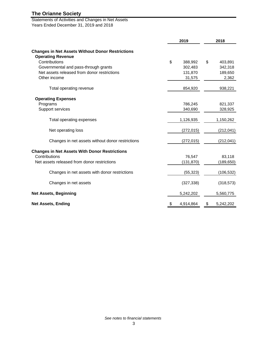Statements of Activities and Changes in Net Assets Years Ended December 31, 2019 and 2018

|                                                         | 2019            | 2018            |  |
|---------------------------------------------------------|-----------------|-----------------|--|
| <b>Changes in Net Assets Without Donor Restrictions</b> |                 |                 |  |
| <b>Operating Revenue</b>                                |                 |                 |  |
| Contributions                                           | \$<br>388,992   | \$<br>403,891   |  |
| Governmental and pass-through grants                    | 302,483         | 342,318         |  |
| Net assets released from donor restrictions             | 131,870         | 189,650         |  |
| Other income                                            | 31,575          | 2,362           |  |
| Total operating revenue                                 | 854,920         | 938,221         |  |
| <b>Operating Expenses</b>                               |                 |                 |  |
| Programs                                                | 786,245         | 821,337         |  |
| Support services                                        | 340,690         | 328,925         |  |
| Total operating expenses                                | 1,126,935       | 1,150,262       |  |
| Net operating loss                                      | (272, 015)      | (212, 041)      |  |
| Changes in net assets without donor restrictions        | (272, 015)      | (212, 041)      |  |
| <b>Changes in Net Assets With Donor Restrictions</b>    |                 |                 |  |
| Contributions                                           | 76,547          | 83,118          |  |
| Net assets released from donor restrictions             | (131, 870)      | (189, 650)      |  |
| Changes in net assets with donor restrictions           | (55, 323)       | (106, 532)      |  |
| Changes in net assets                                   | (327, 338)      | (318, 573)      |  |
| <b>Net Assets, Beginning</b>                            | 5,242,202       | 5,560,775       |  |
| <b>Net Assets, Ending</b>                               | \$<br>4,914,864 | \$<br>5,242,202 |  |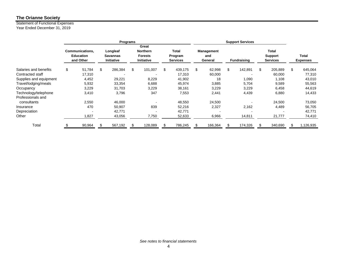Statement of Functional Expenses Year Ended December 31, 2019

|                        | <b>Programs</b> |                                                  |    |                                                  |    |                                                                 |    |                                            | <b>Support Services</b> |                                     |    |                    |    |                                                   |    |                                 |
|------------------------|-----------------|--------------------------------------------------|----|--------------------------------------------------|----|-----------------------------------------------------------------|----|--------------------------------------------|-------------------------|-------------------------------------|----|--------------------|----|---------------------------------------------------|----|---------------------------------|
|                        |                 | Communications,<br><b>Education</b><br>and Other |    | Longleaf<br><b>Savannas</b><br><b>Initiative</b> |    | Great<br><b>Northern</b><br><b>Forests</b><br><b>Initiative</b> |    | <b>Total</b><br>Program<br><b>Services</b> |                         | <b>Management</b><br>and<br>General |    | <b>Fundraising</b> |    | <b>Total</b><br><b>Support</b><br><b>Services</b> |    | <b>Total</b><br><b>Expenses</b> |
| Salaries and benefits  | \$              | 51,784                                           | \$ | 286,384                                          | \$ | 101,007                                                         | \$ | 439,175                                    | \$                      | 62,998                              | \$ | 142,891            | \$ | 205,889                                           | \$ | 645,064                         |
| Contracted staff       |                 | 17,310                                           |    |                                                  |    |                                                                 |    | 17,310                                     |                         | 60,000                              |    |                    |    | 60,000                                            |    | 77,310                          |
| Supplies and equipment |                 | 4,452                                            |    | 29,221                                           |    | 8,229                                                           |    | 41,902                                     |                         | 18                                  |    | 1,090              |    | 1,108                                             |    | 43,010                          |
| Travel/lodging/meals   |                 | 5,932                                            |    | 33,354                                           |    | 6,688                                                           |    | 45,974                                     |                         | 3,885                               |    | 5,704              |    | 9,589                                             |    | 55,563                          |
| Occupancy              |                 | 3,229                                            |    | 31,703                                           |    | 3,229                                                           |    | 38,161                                     |                         | 3,229                               |    | 3,229              |    | 6,458                                             |    | 44,619                          |
| Technology/telephone   |                 | 3,410                                            |    | 3,796                                            |    | 347                                                             |    | 7,553                                      |                         | 2,441                               |    | 4,439              |    | 6,880                                             |    | 14,433                          |
| Professionals and      |                 |                                                  |    |                                                  |    |                                                                 |    |                                            |                         |                                     |    |                    |    |                                                   |    |                                 |
| consultants            |                 | 2,550                                            |    | 46,000                                           |    |                                                                 |    | 48,550                                     |                         | 24,500                              |    |                    |    | 24,500                                            |    | 73,050                          |
| Insurance              |                 | 470                                              |    | 50,907                                           |    | 839                                                             |    | 52,216                                     |                         | 2,327                               |    | 2,162              |    | 4,489                                             |    | 56,705                          |
| Depreciation           |                 |                                                  |    | 42,771                                           |    |                                                                 |    | 42,771                                     |                         |                                     |    |                    |    |                                                   |    | 42,771                          |
| Other                  |                 | 827, ا                                           |    | 43,056                                           |    | 7,750                                                           |    | 52,633                                     |                         | 6,966                               |    | 14,811             |    | 21,777                                            |    | 74,410                          |
| Total                  |                 | 90,964                                           |    | 567,192                                          |    | 128,089                                                         |    | 786,245                                    |                         | 166,364                             |    | 174,326            |    | 340,690                                           | Ж. | 1,126,935                       |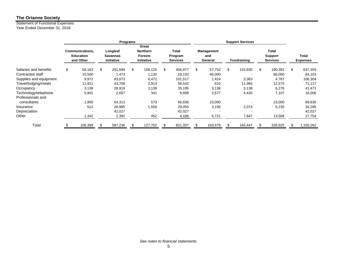Statement of Functional Expenses Year Ended December 31, 2018

|                        | <b>Programs</b>                                  |         |                                    |         |                                                                 |         |                                            |         | <b>Support Services</b>             |         |                    |         |                                                   |         |    |                                 |
|------------------------|--------------------------------------------------|---------|------------------------------------|---------|-----------------------------------------------------------------|---------|--------------------------------------------|---------|-------------------------------------|---------|--------------------|---------|---------------------------------------------------|---------|----|---------------------------------|
|                        | Communications,<br><b>Education</b><br>and Other |         | Longleaf<br>Savannas<br>Initiative |         | Great<br><b>Northern</b><br><b>Forests</b><br><b>Initiative</b> |         | <b>Total</b><br>Program<br><b>Services</b> |         | <b>Management</b><br>and<br>General |         | <b>Fundraising</b> |         | <b>Total</b><br><b>Support</b><br><b>Services</b> |         |    | <b>Total</b><br><b>Expenses</b> |
| Salaries and benefits  | \$                                               | 56,163  | \$                                 | 291,689 | \$                                                              | 109,125 | \$                                         | 456,977 | \$                                  | 57,752  | \$                 | 132,630 | \$                                                | 190,382 | \$ | 647,359                         |
| Contracted staff       |                                                  | 15,500  |                                    | 1,473   |                                                                 | 1,130   |                                            | 18,103  |                                     | 66,000  |                    |         |                                                   | 66,000  |    | 84,103                          |
| Supplies and equipment |                                                  | 9,972   |                                    | 83,073  |                                                                 | 8,472   |                                            | 101,517 |                                     | 1,424   |                    | 3,363   |                                                   | 4,787   |    | 106,304                         |
| Travel/lodging/meals   |                                                  | 11,921  |                                    | 43,708  |                                                                 | 2,913   |                                            | 58,542  |                                     | 610     |                    | 11,965  |                                                   | 12,575  |    | 71,117                          |
| Occupancy              |                                                  | 3,138   |                                    | 28,919  |                                                                 | 3,138   |                                            | 35,195  |                                     | 3,138   |                    | 3,138   |                                                   | 6,276   |    | 41,471                          |
| Technology/telephone   |                                                  | 5,901   |                                    | 2,657   |                                                                 | 341     |                                            | 8,899   |                                     | 2,677   |                    | 4,430   |                                                   | 7,107   |    | 16,006                          |
| Professionals and      |                                                  |         |                                    |         |                                                                 |         |                                            |         |                                     |         |                    |         |                                                   |         |    |                                 |
| consultants            |                                                  | 1,950   |                                    | 64,313  |                                                                 | 573     |                                            | 66,836  |                                     | 23,000  |                    |         |                                                   | 23,000  |    | 89,836                          |
| Insurance              |                                                  | 512     |                                    | 26,985  |                                                                 | 1,558   |                                            | 29,055  |                                     | 3,156   |                    | 2,074   |                                                   | 5,230   |    | 34,285                          |
| Depreciation           |                                                  |         |                                    | 42,027  |                                                                 |         |                                            | 42,027  |                                     |         |                    |         |                                                   |         |    | 42,027                          |
| Other                  |                                                  | 1,342   |                                    | 2,392   |                                                                 | 452     |                                            | 4,186   |                                     | 5,721   |                    | 7,847   |                                                   | 13,568  |    | 17,754                          |
| Total                  |                                                  | 106,399 |                                    | 587,236 |                                                                 | 127,702 |                                            | 821,337 |                                     | 163,478 |                    | 165,447 |                                                   | 328,925 |    | 1,150,262                       |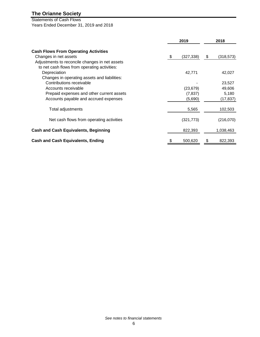# Statements of Cash Flows

Years Ended December 31, 2019 and 2018

|                                                | 2019 |            |    | 2018       |
|------------------------------------------------|------|------------|----|------------|
| <b>Cash Flows From Operating Activities</b>    |      |            |    |            |
| Changes in net assets                          | -\$  | (327, 338) | \$ | (318, 573) |
| Adjustments to reconcile changes in net assets |      |            |    |            |
| to net cash flows from operating activities:   |      |            |    |            |
| Depreciation                                   |      | 42,771     |    | 42,027     |
| Changes in operating assets and liabilities:   |      |            |    |            |
| Contributions receivable                       |      |            |    | 23,527     |
| Accounts receivable                            |      | (23, 679)  |    | 49,606     |
| Prepaid expenses and other current assets      |      | (7, 837)   |    | 5,180      |
| Accounts payable and accrued expenses          |      | (5,690)    |    | (17,837)   |
|                                                |      |            |    |            |
| Total adjustments                              |      | 5,565      |    | 102,503    |
| Net cash flows from operating activities       |      | (321, 773) |    | (216,070)  |
|                                                |      |            |    |            |
| <b>Cash and Cash Equivalents, Beginning</b>    |      | 822,393    |    | 1,038,463  |
| <b>Cash and Cash Equivalents, Ending</b>       | \$   | 500,620    | \$ | 822,393    |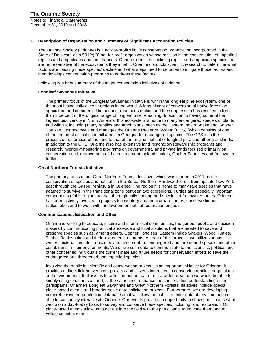## **1. Description of Organization and Summary of Significant Accounting Policies**

The Orianne Society (Orianne) is a not-for-profit wildlife conservation organization incorporated in the State of Delaware as a 501(c)(3) not-for-profit organization whose mission is the conservation of imperiled reptiles and amphibians and their habitats. Orianne identifies declining reptile and amphibian species that are representative of the ecosystems they inhabit. Orianne conducts scientific research to determine what factors are causing these species' decline and what steps need to be taken to mitigate those factors and then develops conservation programs to address these factors.

Following is a brief summary of the major conservation initiatives of Orianne:

#### **Longleaf Savannas Initiative**

The primary focus of the Longleaf Savannas Initiative is within the longleaf pine ecosystem, one of the most biologically diverse regions in the world. A long history of conversion of native forests to agriculture and commercial timberland, road construction and fire suppression has resulted in less than 3 percent of the original range of longleaf pine remaining. In addition to having some of the highest biodiversity in North America, this ecosystem is home to many endangered species of plants and wildlife, including many reptiles and amphibians, such as the Eastern Indigo Snake and Gopher Tortoise. Orianne owns and manages the Orianne Preserve System (OPS) (which consists of one of the ten most critical sand hill areas in Georgia) for endangered species. The OPS is in the process of restoration of the land to that of the original habitat of longleaf pine and other grasslands. In addition to the OPS, Orianne also has extensive land restoration/stewardship programs and research/inventory/monitoring programs on governmental and private lands focused primarily on conservation and improvement of the environment, upland snakes, Gopher Tortoises and freshwater turtles.

#### **Great Northern Forests Initiative**

The primary focus of our Great Northern Forests Initiative, which was started in 2017, is the conservation of species and habitats in the Boreal-Northern Hardwood forest from upstate New York east through the Gaspe Peninsula in Quebec. The region it is home to many rare species that have adapted to survive in the transitional zone between two ecoregions. Turtles are especially important components of this region that has three globally endangered species of freshwater turtles. Orianne has been actively involved in projects to inventory and monitor rare turtles, conserve timber rattlesnakes and to work with landowners on habitat restoration projects.

#### **Communications, Education and Other**

Orianne is working to educate, inspire and inform local communities, the general public and decision makers by communicating practical area-wide and local solutions that are needed to save and preserve species such as, among others, Gopher Tortoises, Eastern Indigo Snakes, Wood Turtles, Timber Rattlesnakes and their related environments. As part of this process, we utilize various written, pictorial and electronic media to document the endangered and threatened species and other cohabitants in their environments. We utilize such data to communicate to the scientific, political and other concerned individuals the current state and future needs for conservation efforts to save the endangered and threatened and imperiled species.

Involving the public in scientific and conservation projects is an important initiative for Orianne. It provides a direct link between our projects and citizens interested in conserving reptiles, amphibians and environments. It allows us to collect important data from a wider area than we would be able to simply using Orianne staff and, at the same time, enhance the conservation understanding of the participants. Orianne's Longleaf Savannas and Great Northern Forests Initiatives include special place-based events and broader-scale data solicitation projects. Furthermore, we are developing comprehensive herpetological databases that will allow the public to enter data at any time and be able to continually interact with Orianne. Our events provide an opportunity to show participants what we do on a day-to-day basis to survey and conserve these species, including land restoration. Our place-based events allow us to get out into the field with the participants to educate them and to collect valuable data.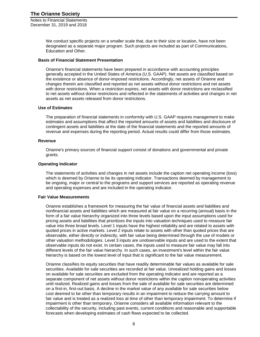Notes to Financial Statements December 31, 2019 and 2018

> We conduct specific projects on a smaller scale that, due to their size or location, have not been designated as a separate major program. Such projects are included as part of Communications, Education and Other.

#### **Basis of Financial Statement Presentation**

Orianne's financial statements have been prepared in accordance with accounting principles generally accepted in the United States of America (U.S. GAAP). Net assets are classified based on the existence or absence of donor-imposed restrictions. Accordingly, net assets of Orianne and changes therein are classified and reported as net assets without donor restrictions and net assets with donor restrictions. When a restriction expires, net assets with donor restrictions are reclassified to net assets without donor restrictions and reflected in the statements of activities and changes in net assets as net assets released from donor restrictions.

#### **Use of Estimates**

The preparation of financial statements in conformity with U.S. GAAP requires management to make estimates and assumptions that affect the reported amounts of assets and liabilities and disclosure of contingent assets and liabilities at the date of the financial statements and the reported amounts of revenue and expenses during the reporting period. Actual results could differ from those estimates.

#### **Revenue**

Orianne's primary sources of financial support consist of donations and governmental and private grants.

#### **Operating Indicator**

The statements of activities and changes in net assets include the caption net operating income (loss) which is deemed by Orianne to be its operating indicator. Transactions deemed by management to be ongoing, major or central to the programs and support services are reported as operating revenue and operating expenses and are included in the operating indicator.

#### **Fair Value Measurements**

Orianne establishes a framework for measuring the fair value of financial assets and liabilities and nonfinancial assets and liabilities which are measured at fair value on a recurring (annual) basis in the form of a fair value hierarchy organized into three levels based upon the input assumptions used for pricing assets and liabilities that prioritizes the inputs into valuation techniques used to measure fair value into three broad levels. Level 1 inputs have the highest reliability and are related to assets with quoted prices in active markets. Level 2 inputs relate to assets with other than quoted prices that are observable, either directly or indirectly, with fair value being determined through the use of models or other valuation methodologies. Level 3 inputs are unobservable inputs and are used to the extent that observable inputs do not exist. In certain cases, the inputs used to measure fair value may fall into different levels of the fair value hierarchy. In such cases, an investment's level within the fair value hierarchy is based on the lowest level of input that is significant to the fair value measurement.

Orianne classifies its equity securities that have readily determinable fair values as available for sale securities. Available for sale securities are recorded at fair value. Unrealized holding gains and losses on available for sale securities are excluded from the operating indicator and are reported as a separate component of net assets without donor restrictions within the caption nonoperating activities until realized. Realized gains and losses from the sale of available for sale securities are determined on a first-in, first-out basis. A decline in the market value of any available for sale securities below cost deemed to be other than temporary results in an impairment to reduce the carrying amount to fair value and is treated as a realized loss at time of other than temporary impairment. To determine if impairment is other than temporary, Orianne considers all available information relevant to the collectability of the security, including past events, current conditions and reasonable and supportable forecasts when developing estimates of cash flows expected to be collected.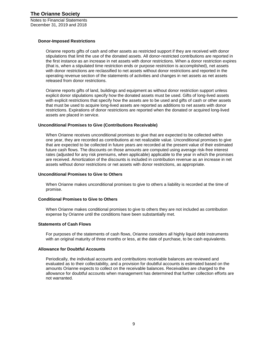#### **Donor-Imposed Restrictions**

Orianne reports gifts of cash and other assets as restricted support if they are received with donor stipulations that limit the use of the donated assets. All donor-restricted contributions are reported in the first instance as an increase in net assets with donor restrictions. When a donor restriction expires (that is, when a stipulated time restriction ends or purpose restriction is accomplished), net assets with donor restrictions are reclassified to net assets without donor restrictions and reported in the operating revenue section of the statements of activities and changes in net assets as net assets released from donor restrictions.

Orianne reports gifts of land, buildings and equipment as without donor restriction support unless explicit donor stipulations specify how the donated assets must be used. Gifts of long-lived assets with explicit restrictions that specify how the assets are to be used and gifts of cash or other assets that must be used to acquire long-lived assets are reported as additions to net assets with donor restrictions. Expirations of donor restrictions are reported when the donated or acquired long-lived assets are placed in service.

#### **Unconditional Promises to Give (Contributions Receivable)**

When Orianne receives unconditional promises to give that are expected to be collected within one year, they are recorded as contributions at net realizable value. Unconditional promises to give that are expected to be collected in future years are recorded at the present value of their estimated future cash flows. The discounts on those amounts are computed using average risk-free interest rates (adjusted for any risk premiums, when applicable) applicable to the year in which the promises are received. Amortization of the discounts is included in contribution revenue as an increase in net assets without donor restrictions or net assets with donor restrictions, as appropriate.

#### **Unconditional Promises to Give to Others**

When Orianne makes unconditional promises to give to others a liability is recorded at the time of promise.

### **Conditional Promises to Give to Others**

When Orianne makes conditional promises to give to others they are not included as contribution expense by Orianne until the conditions have been substantially met.

#### **Statements of Cash Flows**

For purposes of the statements of cash flows, Orianne considers all highly liquid debt instruments with an original maturity of three months or less, at the date of purchase, to be cash equivalents.

#### **Allowance for Doubtful Accounts**

Periodically, the individual accounts and contributions receivable balances are reviewed and evaluated as to their collectability, and a provision for doubtful accounts is estimated based on the amounts Orianne expects to collect on the receivable balances. Receivables are charged to the allowance for doubtful accounts when management has determined that further collection efforts are not warranted.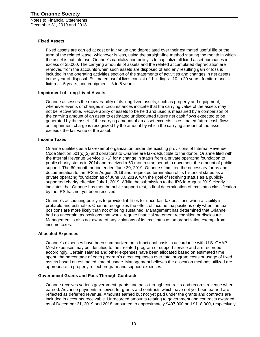### **Fixed Assets**

Fixed assets are carried at cost or fair value and depreciated over their estimated useful life or the term of the related lease, whichever is less, using the straight-line method starting the month in which the asset is put into use. Orianne's capitalization policy is to capitalize all fixed asset purchases in excess of \$5,000. The carrying amounts of assets and the related accumulated depreciation are removed from the accounts when such assets are disposed of and any resulting gain or loss is included in the operating activities section of the statements of activities and changes in net assets in the year of disposal. Estimated useful lives consist of: buildings - 10 to 20 years; furniture and fixtures - 5 years; and equipment - 3 to 5 years.

#### **Impairment of Long-Lived Assets**

Orianne assesses the recoverability of its long-lived assets, such as property and equipment, whenever events or changes in circumstances indicate that the carrying value of the assets may not be recoverable. Recoverability of assets to be held and used is measured by a comparison of the carrying amount of an asset to estimated undiscounted future net cash flows expected to be generated by the asset. If the carrying amount of an asset exceeds its estimated future cash flows, an impairment charge is recognized by the amount by which the carrying amount of the asset exceeds the fair value of the asset.

#### **Income Taxes**

Orianne qualifies as a tax-exempt organization under the existing provisions of Internal Revenue Code Section 501(c)(3) and donations to Orianne are tax-deductible to the donor. Orianne filed with the Internal Revenue Service (IRS) for a change in status from a private operating foundation to public charity status in 2014 and received a 60 month time period to document the amount of public support. The 60 month period ended June 30, 2019. Orianne submitted the necessary forms and documentation to the IRS in August 2019 and requested termination of its historical status as a private operating foundation as of June 30, 2019, with the goal of receiving status as a publicly supported charity effective July 1, 2019. While the submission to the IRS in August 2019 clearly indicates that Orianne has met the public support test, a final determination of tax status classification by the IRS has not yet been received.

Orianne's accounting policy is to provide liabilities for uncertain tax positions when a liability is probable and estimable. Orianne recognizes the effect of income tax positions only when the tax positions are more likely than not of being sustained. Management has determined that Orianne had no uncertain tax positions that would require financial statement recognition or disclosure. Management is also not aware of any violations of its tax status as an organization exempt from income taxes.

#### **Allocated Expenses**

Orianne's expenses have been summarized on a functional basis in accordance with U.S. GAAP. Most expenses may be identified to their related program or support service and are recorded accordingly. Certain salaries and other expenses have been allocated based on estimated time spent, the percentage of each program's direct expenses over total program costs or usage of fixed assets based on estimated time of usage. Management believes the allocation methods utilized are appropriate to properly reflect program and support expenses.

#### **Government Grants and Pass-Through Contracts**

Orianne receives various government grants and pass-through contracts and records revenue when earned. Advance payments received for grants and contracts which have not yet been earned are reflected as deferred revenue. Amounts earned but not yet paid under the grants and contracts are included in accounts receivable. Unrecorded amounts relating to government and contracts awarded as of December 31, 2019 and 2018 amounted to approximately \$497,000 and \$118,000, respectively.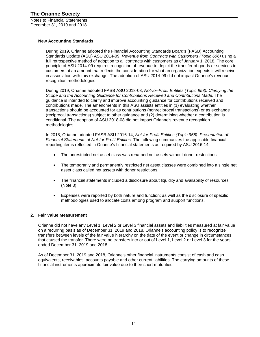### **New Accounting Standards**

During 2019, Orianne adopted the Financial Accounting Standards Board's (FASB) Accounting Standards Update (ASU) ASU 2014-09, *Revenue from Contracts with Customers (Topic 606)* using a full retrospective method of adoption to all contracts with customers as of January 1, 2018. The core principle of ASU 2014-09 requires recognition of revenue to depict the transfer of goods or services to customers at an amount that reflects the consideration for what an organization expects it will receive in association with this exchange. The adoption of ASU 2014-09 did not impact Orianne's revenue recognition methodologies.

During 2019, Orianne adopted FASB ASU 2018-08, *Not-for-Profit Entities (Topic 958): Clarifying the Scope and the Accounting Guidance for Contributions Received and Contributions Made*. The guidance is intended to clarify and improve accounting guidance for contributions received and contributions made. The amendments in this ASU assists entities in (1) evaluating whether transactions should be accounted for as contributions (nonreciprocal transactions) or as exchange (reciprocal transactions) subject to other guidance and (2) determining whether a contribution is conditional. The adoption of ASU 2018-08 did not impact Orianne's revenue recognition methodologies.

In 2018, Orianne adopted FASB ASU 2016-14, *Not-for-Profit Entities (Topic 958): Presentation of Financial Statements of Not-for-Profit Entities*. The following summarizes the applicable financial reporting items reflected in Orianne's financial statements as required by ASU 2016-14:

- The unrestricted net asset class was renamed net assets without donor restrictions.
- The temporarily and permanently restricted net asset classes were combined into a single net asset class called net assets with donor restrictions.
- The financial statements included a disclosure about liquidity and availability of resources (Note 3).
- Expenses were reported by both nature and function; as well as the disclosure of specific methodologies used to allocate costs among program and support functions.

## **2. Fair Value Measurement**

Orianne did not have any Level 1, Level 2 or Level 3 financial assets and liabilities measured at fair value on a recurring basis as of December 31, 2019 and 2018. Orianne's accounting policy is to recognize transfers between levels of the fair value hierarchy on the date of the event or change in circumstances that caused the transfer. There were no transfers into or out of Level 1, Level 2 or Level 3 for the years ended December 31, 2019 and 2018.

As of December 31, 2019 and 2018, Orianne's other financial instruments consist of cash and cash equivalents, receivables, accounts payable and other current liabilities. The carrying amounts of these financial instruments approximate fair value due to their short maturities.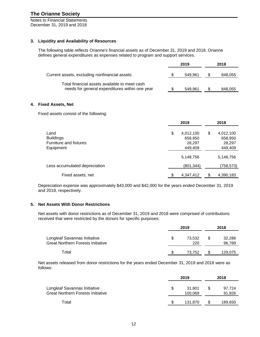Notes to Financial Statements December 31, 2019 and 2018

### **3. Liquidity and Availability of Resources**

The following table reflects Orianne's financial assets as of December 31, 2019 and 2018. Orianne defines general expenditures as expenses related to program and support services.

|                                                                                                 | 2019    |   | 2018    |
|-------------------------------------------------------------------------------------------------|---------|---|---------|
| Current assets, excluding nonfinancial assets                                                   | 549.961 |   | 848,055 |
| Total financial assets available to meet cash<br>needs for general expenditures within one year | 549.961 | S | 848.055 |

### **4. Fixed Assets, Net**

Fixed assets consist of the following:

|                                                                 | 2019                                            |    |                                |  |
|-----------------------------------------------------------------|-------------------------------------------------|----|--------------------------------|--|
| Land<br><b>Buildings</b><br>Furniture and fixtures<br>Equipment | \$<br>4,012,100<br>658,950<br>28,297<br>449,409 | \$ | 4,012,100<br>658,950<br>28,297 |  |
|                                                                 | 5,148,756                                       |    | 449,409<br>5,148,756           |  |
| Less accumulated depreciation                                   | (801, 344)                                      |    | (758,573)                      |  |
| Fixed assets, net                                               | 4,347,412                                       |    | 4,390,183                      |  |

Depreciation expense was approximately \$43,000 and \$42,000 for the years ended December 31, 2019 and 2018, respectively.

### **5. Net Assets With Donor Restrictions**

Net assets with donor restrictions as of December 31, 2019 and 2018 were comprised of contributions received that were restricted by the donors for specific purposes:

|                                                                          | 2019          | 2018 |                  |  |
|--------------------------------------------------------------------------|---------------|------|------------------|--|
| Longleaf Savannas Initiative<br><b>Great Northern Forests Initiative</b> | 73.532<br>220 | S    | 32,286<br>96,789 |  |
| Total                                                                    | 73.752        |      | 129,075          |  |

Net assets released from donor restrictions for the years ended December 31, 2019 and 2018 were as follows:

|                                                                   |   |                   | 2018 |                  |
|-------------------------------------------------------------------|---|-------------------|------|------------------|
| Longleaf Savannas Initiative<br>Great Northern Forests Initiative | S | 31.801<br>100,069 | \$.  | 97,724<br>91,926 |
| Total                                                             |   | 131.870           | S    | 189,650          |